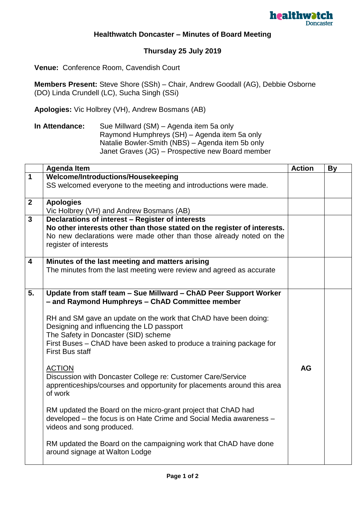

## **Healthwatch Doncaster – Minutes of Board Meeting**

## **Thursday 25 July 2019**

**Venue:** Conference Room, Cavendish Court

**Members Present:** Steve Shore (SSh) – Chair, Andrew Goodall (AG), Debbie Osborne (DO) Linda Crundell (LC), Sucha Singh (SSi)

**Apologies:** Vic Holbrey (VH), Andrew Bosmans (AB)

| In Attendance: | Sue Millward (SM) – Agenda item 5a only          |
|----------------|--------------------------------------------------|
|                | Raymond Humphreys (SH) – Agenda item 5a only     |
|                | Natalie Bowler-Smith (NBS) – Agenda item 5b only |
|                | Janet Graves (JG) – Prospective new Board member |

|                         | <b>Agenda Item</b>                                                                                                                              | <b>Action</b> | <b>By</b> |
|-------------------------|-------------------------------------------------------------------------------------------------------------------------------------------------|---------------|-----------|
| $\mathbf 1$             | Welcome/Introductions/Housekeeping                                                                                                              |               |           |
|                         | SS welcomed everyone to the meeting and introductions were made.                                                                                |               |           |
|                         |                                                                                                                                                 |               |           |
| $\mathbf{2}$            | <b>Apologies</b>                                                                                                                                |               |           |
| $\overline{\mathbf{3}}$ | Vic Holbrey (VH) and Andrew Bosmans (AB)                                                                                                        |               |           |
|                         | Declarations of interest - Register of interests                                                                                                |               |           |
|                         | No other interests other than those stated on the register of interests.<br>No new declarations were made other than those already noted on the |               |           |
|                         | register of interests                                                                                                                           |               |           |
|                         |                                                                                                                                                 |               |           |
| 4                       | Minutes of the last meeting and matters arising                                                                                                 |               |           |
|                         | The minutes from the last meeting were review and agreed as accurate                                                                            |               |           |
|                         |                                                                                                                                                 |               |           |
|                         |                                                                                                                                                 |               |           |
| 5.                      | Update from staff team - Sue Millward - ChAD Peer Support Worker                                                                                |               |           |
|                         | - and Raymond Humphreys - ChAD Committee member                                                                                                 |               |           |
|                         | RH and SM gave an update on the work that ChAD have been doing:                                                                                 |               |           |
|                         | Designing and influencing the LD passport                                                                                                       |               |           |
|                         | The Safety in Doncaster (SID) scheme                                                                                                            |               |           |
|                         | First Buses – ChAD have been asked to produce a training package for                                                                            |               |           |
|                         | <b>First Bus staff</b>                                                                                                                          |               |           |
|                         |                                                                                                                                                 |               |           |
|                         | <b>ACTION</b>                                                                                                                                   | <b>AG</b>     |           |
|                         | Discussion with Doncaster College re: Customer Care/Service                                                                                     |               |           |
|                         | apprenticeships/courses and opportunity for placements around this area                                                                         |               |           |
|                         | of work                                                                                                                                         |               |           |
|                         |                                                                                                                                                 |               |           |
|                         | RM updated the Board on the micro-grant project that ChAD had                                                                                   |               |           |
|                         | developed - the focus is on Hate Crime and Social Media awareness -                                                                             |               |           |
|                         | videos and song produced.                                                                                                                       |               |           |
|                         | RM updated the Board on the campaigning work that ChAD have done                                                                                |               |           |
|                         | around signage at Walton Lodge                                                                                                                  |               |           |
|                         |                                                                                                                                                 |               |           |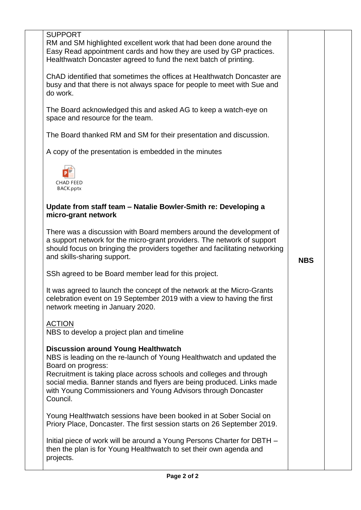| <b>SUPPORT</b><br>RM and SM highlighted excellent work that had been done around the<br>Easy Read appointment cards and how they are used by GP practices.<br>Healthwatch Doncaster agreed to fund the next batch of printing.                               |            |  |
|--------------------------------------------------------------------------------------------------------------------------------------------------------------------------------------------------------------------------------------------------------------|------------|--|
| ChAD identified that sometimes the offices at Healthwatch Doncaster are<br>busy and that there is not always space for people to meet with Sue and<br>do work.                                                                                               |            |  |
| The Board acknowledged this and asked AG to keep a watch-eye on<br>space and resource for the team.                                                                                                                                                          |            |  |
| The Board thanked RM and SM for their presentation and discussion.                                                                                                                                                                                           |            |  |
| A copy of the presentation is embedded in the minutes                                                                                                                                                                                                        |            |  |
| <b>CHAD FEED</b><br>BACK.pptx                                                                                                                                                                                                                                |            |  |
| Update from staff team - Natalie Bowler-Smith re: Developing a<br>micro-grant network                                                                                                                                                                        |            |  |
| There was a discussion with Board members around the development of<br>a support network for the micro-grant providers. The network of support<br>should focus on bringing the providers together and facilitating networking<br>and skills-sharing support. | <b>NBS</b> |  |
| SSh agreed to be Board member lead for this project.                                                                                                                                                                                                         |            |  |
| It was agreed to launch the concept of the network at the Micro-Grants<br>celebration event on 19 September 2019 with a view to having the first<br>network meeting in January 2020.                                                                         |            |  |
| <b>ACTION</b><br>NBS to develop a project plan and timeline                                                                                                                                                                                                  |            |  |
| <b>Discussion around Young Healthwatch</b><br>NBS is leading on the re-launch of Young Healthwatch and updated the<br>Board on progress:                                                                                                                     |            |  |
| Recruitment is taking place across schools and colleges and through<br>social media. Banner stands and flyers are being produced. Links made<br>with Young Commissioners and Young Advisors through Doncaster<br>Council.                                    |            |  |
| Young Healthwatch sessions have been booked in at Sober Social on<br>Priory Place, Doncaster. The first session starts on 26 September 2019.                                                                                                                 |            |  |
| Initial piece of work will be around a Young Persons Charter for DBTH -<br>then the plan is for Young Healthwatch to set their own agenda and<br>projects.                                                                                                   |            |  |
|                                                                                                                                                                                                                                                              |            |  |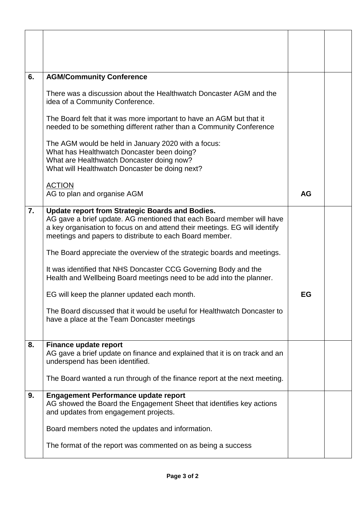| 6. | <b>AGM/Community Conference</b>                                                                                                                                                                                                                                   |           |  |
|----|-------------------------------------------------------------------------------------------------------------------------------------------------------------------------------------------------------------------------------------------------------------------|-----------|--|
|    | There was a discussion about the Healthwatch Doncaster AGM and the<br>idea of a Community Conference.                                                                                                                                                             |           |  |
|    | The Board felt that it was more important to have an AGM but that it<br>needed to be something different rather than a Community Conference                                                                                                                       |           |  |
|    | The AGM would be held in January 2020 with a focus:<br>What has Healthwatch Doncaster been doing?<br>What are Healthwatch Doncaster doing now?<br>What will Healthwatch Doncaster be doing next?                                                                  |           |  |
|    | <b>ACTION</b><br>AG to plan and organise AGM                                                                                                                                                                                                                      | <b>AG</b> |  |
| 7. | Update report from Strategic Boards and Bodies.<br>AG gave a brief update. AG mentioned that each Board member will have<br>a key organisation to focus on and attend their meetings. EG will identify<br>meetings and papers to distribute to each Board member. |           |  |
|    | The Board appreciate the overview of the strategic boards and meetings.                                                                                                                                                                                           |           |  |
|    | It was identified that NHS Doncaster CCG Governing Body and the<br>Health and Wellbeing Board meetings need to be add into the planner.                                                                                                                           |           |  |
|    | EG will keep the planner updated each month.                                                                                                                                                                                                                      | EG        |  |
|    | The Board discussed that it would be useful for Healthwatch Doncaster to<br>have a place at the Team Doncaster meetings                                                                                                                                           |           |  |
| 8. | <b>Finance update report</b><br>AG gave a brief update on finance and explained that it is on track and an<br>underspend has been identified.                                                                                                                     |           |  |
|    | The Board wanted a run through of the finance report at the next meeting.                                                                                                                                                                                         |           |  |
| 9. | <b>Engagement Performance update report</b><br>AG showed the Board the Engagement Sheet that identifies key actions<br>and updates from engagement projects.                                                                                                      |           |  |
|    | Board members noted the updates and information.                                                                                                                                                                                                                  |           |  |
|    | The format of the report was commented on as being a success                                                                                                                                                                                                      |           |  |